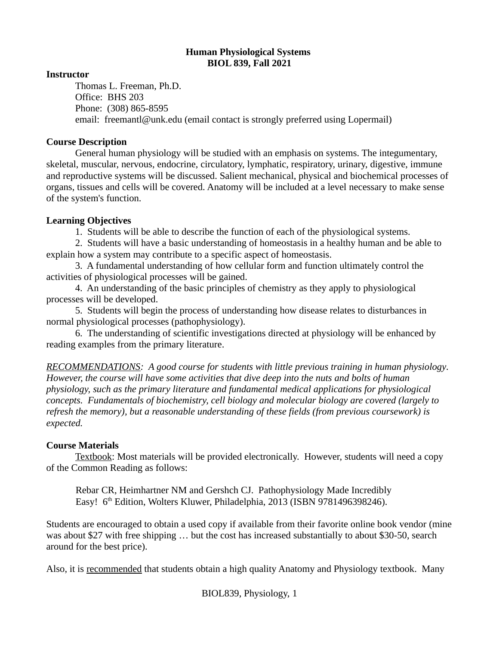### **Human Physiological Systems BIOL 839, Fall 2021**

### **Instructor**

Thomas L. Freeman, Ph.D. Office: BHS 203 Phone: (308) 865-8595 email: freemantl@unk.edu (email contact is strongly preferred using Lopermail)

## **Course Description**

General human physiology will be studied with an emphasis on systems. The integumentary, skeletal, muscular, nervous, endocrine, circulatory, lymphatic, respiratory, urinary, digestive, immune and reproductive systems will be discussed. Salient mechanical, physical and biochemical processes of organs, tissues and cells will be covered. Anatomy will be included at a level necessary to make sense of the system's function.

# **Learning Objectives**

1. Students will be able to describe the function of each of the physiological systems.

2. Students will have a basic understanding of homeostasis in a healthy human and be able to explain how a system may contribute to a specific aspect of homeostasis.

3. A fundamental understanding of how cellular form and function ultimately control the activities of physiological processes will be gained.

4. An understanding of the basic principles of chemistry as they apply to physiological processes will be developed.

5. Students will begin the process of understanding how disease relates to disturbances in normal physiological processes (pathophysiology).

6. The understanding of scientific investigations directed at physiology will be enhanced by reading examples from the primary literature.

*RECOMMENDATIONS: A good course for students with little previous training in human physiology. However, the course will have some activities that dive deep into the nuts and bolts of human physiology, such as the primary literature and fundamental medical applications for physiological concepts. Fundamentals of biochemistry, cell biology and molecular biology are covered (largely to refresh the memory), but a reasonable understanding of these fields (from previous coursework) is expected.*

# **Course Materials**

Textbook: Most materials will be provided electronically. However, students will need a copy of the Common Reading as follows:

Rebar CR, Heimhartner NM and Gershch CJ. Pathophysiology Made Incredibly Easy! 6<sup>th</sup> Edition, Wolters Kluwer, Philadelphia, 2013 (ISBN 9781496398246).

Students are encouraged to obtain a used copy if available from their favorite online book vendor (mine was about \$27 with free shipping … but the cost has increased substantially to about \$30-50, search around for the best price).

Also, it is recommended that students obtain a high quality Anatomy and Physiology textbook. Many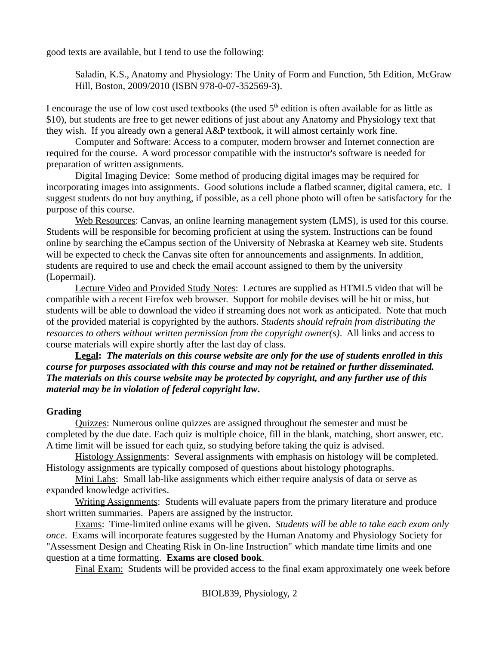good texts are available, but I tend to use the following:

Saladin, K.S., Anatomy and Physiology: The Unity of Form and Function, 5th Edition, McGraw Hill, Boston, 2009/2010 (ISBN 978-0-07-352569-3).

I encourage the use of low cost used textbooks (the used  $5<sup>th</sup>$  edition is often available for as little as \$10), but students are free to get newer editions of just about any Anatomy and Physiology text that they wish. If you already own a general A&P textbook, it will almost certainly work fine.

Computer and Software: Access to a computer, modern browser and Internet connection are required for the course. A word processor compatible with the instructor's software is needed for preparation of written assignments.

Digital Imaging Device: Some method of producing digital images may be required for incorporating images into assignments. Good solutions include a flatbed scanner, digital camera, etc. I suggest students do not buy anything, if possible, as a cell phone photo will often be satisfactory for the purpose of this course.

Web Resources: Canvas, an online learning management system (LMS), is used for this course. Students will be responsible for becoming proficient at using the system. Instructions can be found online by searching the eCampus section of the University of Nebraska at Kearney web site. Students will be expected to check the Canvas site often for announcements and assignments. In addition, students are required to use and check the email account assigned to them by the university (Lopermail).

 Lecture Video and Provided Study Notes: Lectures are supplied as HTML5 video that will be compatible with a recent Firefox web browser. Support for mobile devises will be hit or miss, but students will be able to download the video if streaming does not work as anticipated. Note that much of the provided material is copyrighted by the authors. *Students should refrain from distributing the resources to others without written permission from the copyright owner(s)*. All links and access to course materials will expire shortly after the last day of class.

**Legal:** *The materials on this course website are only for the use of students enrolled in this course for purposes associated with this course and may not be retained or further disseminated. The materials on this course website may be protected by copyright, and any further use of this material may be in violation of federal copyright law***.**

# **Grading**

Quizzes: Numerous online quizzes are assigned throughout the semester and must be completed by the due date. Each quiz is multiple choice, fill in the blank, matching, short answer, etc. A time limit will be issued for each quiz, so studying before taking the quiz is advised.

 Histology Assignments: Several assignments with emphasis on histology will be completed. Histology assignments are typically composed of questions about histology photographs.

Mini Labs: Small lab-like assignments which either require analysis of data or serve as expanded knowledge activities.

Writing Assignments: Students will evaluate papers from the primary literature and produce short written summaries. Papers are assigned by the instructor.

Exams: Time-limited online exams will be given. *Students will be able to take each exam only once*. Exams will incorporate features suggested by the Human Anatomy and Physiology Society for "Assessment Design and Cheating Risk in On-line Instruction" which mandate time limits and one question at a time formatting. **Exams are closed book**.

Final Exam: Students will be provided access to the final exam approximately one week before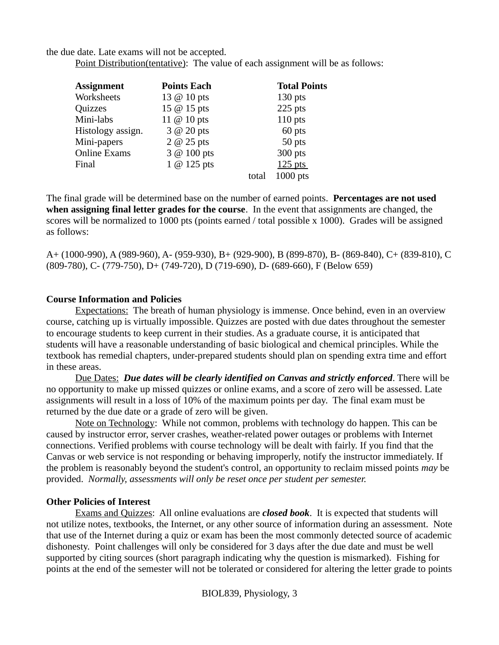the due date. Late exams will not be accepted.

Point Distribution (tentative): The value of each assignment will be as follows:

| <b>Assignment</b>   | <b>Points Each</b>  |       | <b>Total Points</b> |
|---------------------|---------------------|-------|---------------------|
| Worksheets          | 13 $\omega$ 10 pts  |       | $130$ pts           |
| Quizzes             | 15 @ 15 pts         |       | 225 pts             |
| Mini-labs           | 11 @ 10 pts         |       | $110$ pts           |
| Histology assign.   | $3$ $\omega$ 20 pts |       | 60 pts              |
| Mini-papers         | 2 @ 25 pts          |       | 50 pts              |
| <b>Online Exams</b> | 3 @ 100 pts         |       | 300 pts             |
| Final               | $1 \omega$ 125 pts  |       | $125$ pts           |
|                     |                     | total | 1000 pts            |

The final grade will be determined base on the number of earned points. **Percentages are not used when assigning final letter grades for the course**. In the event that assignments are changed, the scores will be normalized to 1000 pts (points earned / total possible x 1000). Grades will be assigned as follows:

A+ (1000-990), A (989-960), A- (959-930), B+ (929-900), B (899-870), B- (869-840), C+ (839-810), C (809-780), C- (779-750), D+ (749-720), D (719-690), D- (689-660), F (Below 659)

### **Course Information and Policies**

Expectations: The breath of human physiology is immense. Once behind, even in an overview course, catching up is virtually impossible. Quizzes are posted with due dates throughout the semester to encourage students to keep current in their studies. As a graduate course, it is anticipated that students will have a reasonable understanding of basic biological and chemical principles. While the textbook has remedial chapters, under-prepared students should plan on spending extra time and effort in these areas.

Due Dates: *Due dates will be clearly identified on Canvas and strictly enforced*. There will be no opportunity to make up missed quizzes or online exams, and a score of zero will be assessed. Late assignments will result in a loss of 10% of the maximum points per day. The final exam must be returned by the due date or a grade of zero will be given.

Note on Technology: While not common, problems with technology do happen. This can be caused by instructor error, server crashes, weather-related power outages or problems with Internet connections. Verified problems with course technology will be dealt with fairly. If you find that the Canvas or web service is not responding or behaving improperly, notify the instructor immediately. If the problem is reasonably beyond the student's control, an opportunity to reclaim missed points *may* be provided. *Normally, assessments will only be reset once per student per semester.*

# **Other Policies of Interest**

Exams and Quizzes: All online evaluations are *closed book*. It is expected that students will not utilize notes, textbooks, the Internet, or any other source of information during an assessment. Note that use of the Internet during a quiz or exam has been the most commonly detected source of academic dishonesty. Point challenges will only be considered for 3 days after the due date and must be well supported by citing sources (short paragraph indicating why the question is mismarked). Fishing for points at the end of the semester will not be tolerated or considered for altering the letter grade to points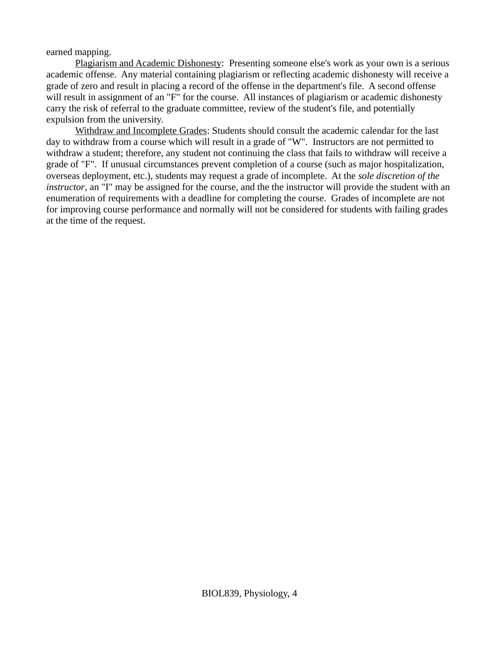earned mapping.

Plagiarism and Academic Dishonesty: Presenting someone else's work as your own is a serious academic offense. Any material containing plagiarism or reflecting academic dishonesty will receive a grade of zero and result in placing a record of the offense in the department's file. A second offense will result in assignment of an "F" for the course. All instances of plagiarism or academic dishonesty carry the risk of referral to the graduate committee, review of the student's file, and potentially expulsion from the university.

Withdraw and Incomplete Grades: Students should consult the academic calendar for the last day to withdraw from a course which will result in a grade of "W". Instructors are not permitted to withdraw a student; therefore, any student not continuing the class that fails to withdraw will receive a grade of "F". If unusual circumstances prevent completion of a course (such as major hospitalization, overseas deployment, etc.), students may request a grade of incomplete. At the *sole discretion of the instructor*, an "I" may be assigned for the course, and the the instructor will provide the student with an enumeration of requirements with a deadline for completing the course. Grades of incomplete are not for improving course performance and normally will not be considered for students with failing grades at the time of the request.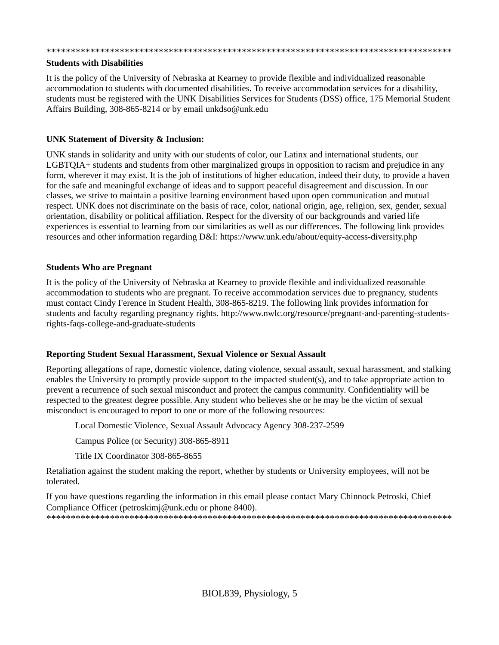#### \*\*\*\*\*\*\*\*\*\*\*\*\*\*\*\*\*\*\*\*\*\*\*\*\*\*\*\*\*\*\*\*\*\*\*\*\*\*\*\*\*\*\*\*\*\*\*\*\*\*\*\*\*\*\*\*\*\*\*\*\*\*\*\*\*\*\*\*\*\*\*\*\*\*\*\*\*\*\*\*\*\*\*

#### **Students with Disabilities**

It is the policy of the University of Nebraska at Kearney to provide flexible and individualized reasonable accommodation to students with documented disabilities. To receive accommodation services for a disability, students must be registered with the UNK Disabilities Services for Students (DSS) office, 175 Memorial Student Affairs Building, 308-865-8214 or by email unkdso@unk.edu

#### **UNK Statement of Diversity & Inclusion:**

UNK stands in solidarity and unity with our students of color, our Latinx and international students, our LGBTQIA+ students and students from other marginalized groups in opposition to racism and prejudice in any form, wherever it may exist. It is the job of institutions of higher education, indeed their duty, to provide a haven for the safe and meaningful exchange of ideas and to support peaceful disagreement and discussion. In our classes, we strive to maintain a positive learning environment based upon open communication and mutual respect. UNK does not discriminate on the basis of race, color, national origin, age, religion, sex, gender, sexual orientation, disability or political affiliation. Respect for the diversity of our backgrounds and varied life experiences is essential to learning from our similarities as well as our differences. The following link provides resources and other information regarding D&I: https://www.unk.edu/about/equity-access-diversity.php

#### **Students Who are Pregnant**

It is the policy of the University of Nebraska at Kearney to provide flexible and individualized reasonable accommodation to students who are pregnant. To receive accommodation services due to pregnancy, students must contact Cindy Ference in Student Health, 308-865-8219. The following link provides information for students and faculty regarding pregnancy rights. http://www.nwlc.org/resource/pregnant-and-parenting-studentsrights-faqs-college-and-graduate-students

#### **Reporting Student Sexual Harassment, Sexual Violence or Sexual Assault**

Reporting allegations of rape, domestic violence, dating violence, sexual assault, sexual harassment, and stalking enables the University to promptly provide support to the impacted student(s), and to take appropriate action to prevent a recurrence of such sexual misconduct and protect the campus community. Confidentiality will be respected to the greatest degree possible. Any student who believes she or he may be the victim of sexual misconduct is encouraged to report to one or more of the following resources:

Local Domestic Violence, Sexual Assault Advocacy Agency 308-237-2599

Campus Police (or Security) 308-865-8911

Title IX Coordinator 308-865-8655

Retaliation against the student making the report, whether by students or University employees, will not be tolerated.

If you have questions regarding the information in this email please contact Mary Chinnock Petroski, Chief Compliance Officer (petroskimi@unk.edu or phone 8400). \*\*\*\*\*\*\*\*\*\*\*\*\*\*\*\*\*\*\*\*\*\*\*\*\*\*\*\*\*\*\*\*\*\*\*\*\*\*\*\*\*\*\*\*\*\*\*\*\*\*\*\*\*\*\*\*\*\*\*\*\*\*\*\*\*\*\*\*\*\*\*\*\*\*\*\*\*\*\*\*\*\*\*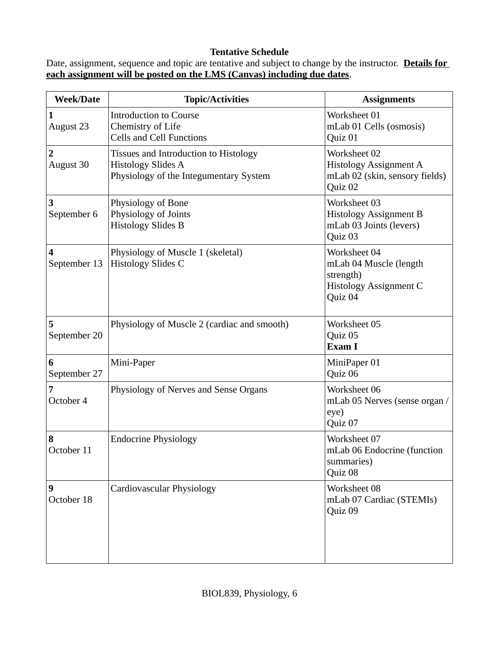# **Tentative Schedule**

Date, assignment, sequence and topic are tentative and subject to change by the instructor. **Details for each assignment will be posted on the LMS (Canvas) including due dates**.

| <b>Week/Date</b>  | <b>Topic/Activities</b>                                                                                      | <b>Assignments</b>                                                                              |
|-------------------|--------------------------------------------------------------------------------------------------------------|-------------------------------------------------------------------------------------------------|
| August 23         | <b>Introduction to Course</b><br>Chemistry of Life<br><b>Cells and Cell Functions</b>                        | Worksheet 01<br>mLab 01 Cells (osmosis)<br>Quiz 01                                              |
| 2<br>August 30    | Tissues and Introduction to Histology<br><b>Histology Slides A</b><br>Physiology of the Integumentary System | Worksheet 02<br><b>Histology Assignment A</b><br>mLab 02 (skin, sensory fields)<br>Quiz 02      |
| 3<br>September 6  | Physiology of Bone<br>Physiology of Joints<br><b>Histology Slides B</b>                                      | Worksheet 03<br><b>Histology Assignment B</b><br>mLab 03 Joints (levers)<br>Quiz 03             |
| 4<br>September 13 | Physiology of Muscle 1 (skeletal)<br><b>Histology Slides C</b>                                               | Worksheet 04<br>mLab 04 Muscle (length<br>strength)<br><b>Histology Assignment C</b><br>Quiz 04 |
| 5<br>September 20 | Physiology of Muscle 2 (cardiac and smooth)                                                                  | Worksheet 05<br>Quiz 05<br>Exam I                                                               |
| 6<br>September 27 | Mini-Paper                                                                                                   | MiniPaper 01<br>Quiz 06                                                                         |
| 7<br>October 4    | Physiology of Nerves and Sense Organs                                                                        | Worksheet 06<br>mLab 05 Nerves (sense organ /<br>eye)<br>Quiz 07                                |
| 8<br>October 11   | <b>Endocrine Physiology</b>                                                                                  | Worksheet 07<br>mLab 06 Endocrine (function<br>summaries)<br>Quiz 08                            |
| 9<br>October 18   | <b>Cardiovascular Physiology</b>                                                                             | Worksheet 08<br>mLab 07 Cardiac (STEMIs)<br>Quiz 09                                             |